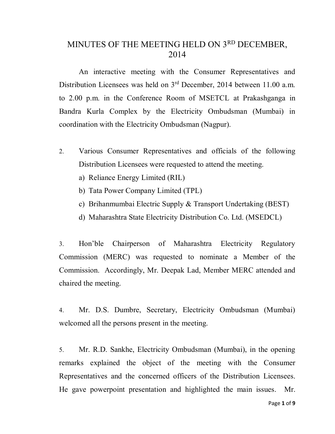# MINUTES OF THE MEETING HELD ON 3RD DECEMBER, 2014

An interactive meeting with the Consumer Representatives and Distribution Licensees was held on 3<sup>rd</sup> December, 2014 between 11.00 a.m. to 2.00 p.m. in the Conference Room of MSETCL at Prakashganga in Bandra Kurla Complex by the Electricity Ombudsman (Mumbai) in coordination with the Electricity Ombudsman (Nagpur).

- 2. Various Consumer Representatives and officials of the following Distribution Licensees were requested to attend the meeting.
	- a) Reliance Energy Limited (RIL)
	- b) Tata Power Company Limited (TPL)
	- c) Brihanmumbai Electric Supply & Transport Undertaking (BEST)
	- d) Maharashtra State Electricity Distribution Co. Ltd. (MSEDCL)

3. Hon'ble Chairperson of Maharashtra Electricity Regulatory Commission (MERC) was requested to nominate a Member of the Commission. Accordingly, Mr. Deepak Lad, Member MERC attended and chaired the meeting.

4. Mr. D.S. Dumbre, Secretary, Electricity Ombudsman (Mumbai) welcomed all the persons present in the meeting.

5. Mr. R.D. Sankhe, Electricity Ombudsman (Mumbai), in the opening remarks explained the object of the meeting with the Consumer Representatives and the concerned officers of the Distribution Licensees. He gave powerpoint presentation and highlighted the main issues. Mr.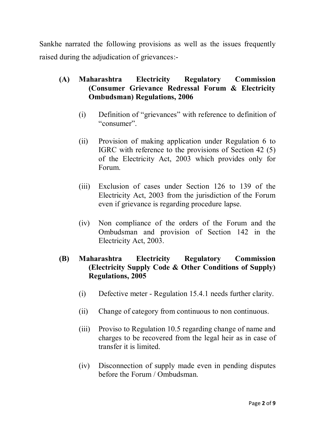Sankhe narrated the following provisions as well as the issues frequently raised during the adjudication of grievances:-

### **(A) Maharashtra Electricity Regulatory Commission (Consumer Grievance Redressal Forum & Electricity Ombudsman) Regulations, 2006**

- (i) Definition of "grievances" with reference to definition of "consumer".
- (ii) Provision of making application under Regulation 6 to IGRC with reference to the provisions of Section 42 (5) of the Electricity Act, 2003 which provides only for Forum.
- (iii) Exclusion of cases under Section 126 to 139 of the Electricity Act, 2003 from the jurisdiction of the Forum even if grievance is regarding procedure lapse.
- (iv) Non compliance of the orders of the Forum and the Ombudsman and provision of Section 142 in the Electricity Act, 2003.

### **(B) Maharashtra Electricity Regulatory Commission (Electricity Supply Code & Other Conditions of Supply) Regulations, 2005**

- (i) Defective meter Regulation 15.4.1 needs further clarity.
- (ii) Change of category from continuous to non continuous.
- (iii) Proviso to Regulation 10.5 regarding change of name and charges to be recovered from the legal heir as in case of transfer it is limited.
- (iv) Disconnection of supply made even in pending disputes before the Forum / Ombudsman.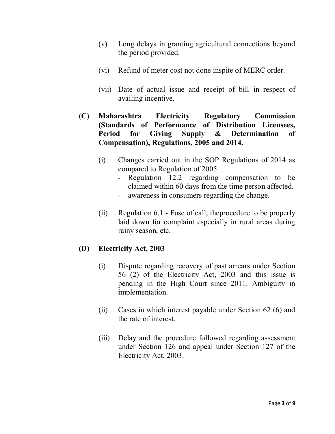- (v) Long delays in granting agricultural connections beyond the period provided.
- (vi) Refund of meter cost not done inspite of MERC order.
- (vii) Date of actual issue and receipt of bill in respect of availing incentive.
- **(C) Maharashtra Electricity Regulatory Commission (Standards of Performance of Distribution Licensees, Period for Giving Supply & Determination of Compensation), Regulations, 2005 and 2014.**
	- (i) Changes carried out in the SOP Regulations of 2014 as compared to Regulation of 2005
		- Regulation 12.2 regarding compensation to be claimed within 60 days from the time person affected.
		- awareness in consumers regarding the change.
	- (ii) Regulation 6.1 Fuse of call, theprocedure to be properly laid down for complaint especially in rural areas during rainy season, etc.

## **(D) Electricity Act, 2003**

- (i) Dispute regarding recovery of past arrears under Section 56 (2) of the Electricity Act, 2003 and this issue is pending in the High Court since 2011. Ambiguity in implementation.
- (ii) Cases in which interest payable under Section 62 (6) and the rate of interest.
- (iii) Delay and the procedure followed regarding assessment under Section 126 and appeal under Section 127 of the Electricity Act, 2003.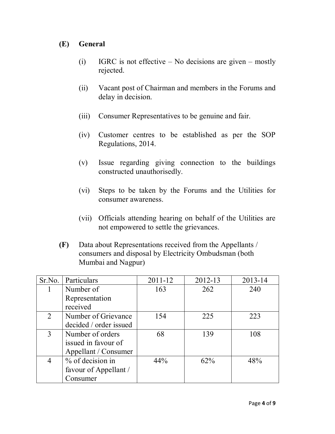## **(E) General**

- (i) IGRC is not effective No decisions are given mostly rejected.
- (ii) Vacant post of Chairman and members in the Forums and delay in decision.
- (iii) Consumer Representatives to be genuine and fair.
- (iv) Customer centres to be established as per the SOP Regulations, 2014.
- (v) Issue regarding giving connection to the buildings constructed unauthorisedly.
- (vi) Steps to be taken by the Forums and the Utilities for consumer awareness.
- (vii) Officials attending hearing on behalf of the Utilities are not empowered to settle the grievances.
- **(F)** Data about Representations received from the Appellants / consumers and disposal by Electricity Ombudsman (both Mumbai and Nagpur)

| Sr.No. | Particulars            | $2011 - 12$ | 2012-13 | 2013-14 |
|--------|------------------------|-------------|---------|---------|
| 1      | Number of              | 163         | 262     | 240     |
|        | Representation         |             |         |         |
|        | received               |             |         |         |
| 2      | Number of Grievance    | 154         | 225     | 223     |
|        | decided / order issued |             |         |         |
| 3      | Number of orders       | 68          | 139     | 108     |
|        | issued in favour of    |             |         |         |
|        | Appellant / Consumer   |             |         |         |
| 4      | % of decision in       | 44%         | 62%     | 48%     |
|        | favour of Appellant /  |             |         |         |
|        | Consumer               |             |         |         |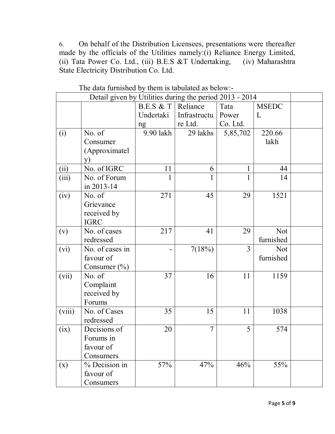6. On behalf of the Distribution Licensees, presentations were thereafter made by the officials of the Utilities namely:(i) Reliance Energy Limited, (ii) Tata Power Co. Ltd., (iii) B.E.S &T Undertaking, (iv) Maharashtra State Electricity Distribution Co. Ltd.

| Detail given by Utilities during the period 2013 - 2014 |                  |           |                |                |              |  |
|---------------------------------------------------------|------------------|-----------|----------------|----------------|--------------|--|
|                                                         |                  | B.E.S & T | Reliance       | Tata           | <b>MSEDC</b> |  |
|                                                         |                  | Undertaki | Infrastructu   | Power          | L            |  |
|                                                         |                  | ng        | re Ltd.        | Co. Ltd.       |              |  |
| (i)                                                     | No. of           | 9.90 lakh | 29 lakhs       | 5,85,702       | 220.66       |  |
|                                                         | Consumer         |           |                |                | lakh         |  |
|                                                         | (Approximatel    |           |                |                |              |  |
|                                                         | <b>y</b> )       |           |                |                |              |  |
| (ii)                                                    | No. of IGRC      | 11        | 6              | 1              | 44           |  |
| (iii)                                                   | No. of Forum     | 1         | 1              | 1              | 14           |  |
|                                                         | in 2013-14       |           |                |                |              |  |
| (iv)                                                    | No. of           | 271       | 45             | 29             | 1521         |  |
|                                                         | Grievance        |           |                |                |              |  |
|                                                         | received by      |           |                |                |              |  |
|                                                         | <b>IGRC</b>      |           |                |                |              |  |
| (v)                                                     | No. of cases     | 217       | 41             | 29             | <b>Not</b>   |  |
|                                                         | redressed        |           |                |                | furnished    |  |
| (vi)                                                    | No. of cases in  |           | 7(18%)         | $\overline{3}$ | <b>Not</b>   |  |
|                                                         | favour of        |           |                |                | furnished    |  |
|                                                         | Consumer $(\% )$ |           |                |                |              |  |
| (vii)                                                   | No. of           | 37        | 16             | 11             | 1159         |  |
|                                                         | Complaint        |           |                |                |              |  |
|                                                         | received by      |           |                |                |              |  |
|                                                         | Forums           |           |                |                |              |  |
| (viii)                                                  | No. of Cases     | 35        | 15             | 11             | 1038         |  |
|                                                         | redressed        |           |                |                |              |  |
| (ix)                                                    | Decisions of     | 20        | $\overline{7}$ | 5              | 574          |  |
|                                                         | Forums in        |           |                |                |              |  |
|                                                         | favour of        |           |                |                |              |  |
|                                                         | Consumers        |           |                |                |              |  |
| (x)                                                     | % Decision in    | 57%       | 47%            | 46%            | 55%          |  |
|                                                         | favour of        |           |                |                |              |  |
|                                                         | Consumers        |           |                |                |              |  |

The data furnished by them is tabulated as below:-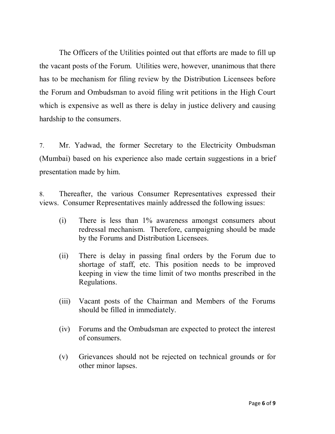The Officers of the Utilities pointed out that efforts are made to fill up the vacant posts of the Forum. Utilities were, however, unanimous that there has to be mechanism for filing review by the Distribution Licensees before the Forum and Ombudsman to avoid filing writ petitions in the High Court which is expensive as well as there is delay in justice delivery and causing hardship to the consumers.

7. Mr. Yadwad, the former Secretary to the Electricity Ombudsman (Mumbai) based on his experience also made certain suggestions in a brief presentation made by him.

8. Thereafter, the various Consumer Representatives expressed their views. Consumer Representatives mainly addressed the following issues:

- (i) There is less than 1% awareness amongst consumers about redressal mechanism. Therefore, campaigning should be made by the Forums and Distribution Licensees.
- (ii) There is delay in passing final orders by the Forum due to shortage of staff, etc. This position needs to be improved keeping in view the time limit of two months prescribed in the Regulations.
- (iii) Vacant posts of the Chairman and Members of the Forums should be filled in immediately.
- (iv) Forums and the Ombudsman are expected to protect the interest of consumers.
- (v) Grievances should not be rejected on technical grounds or for other minor lapses.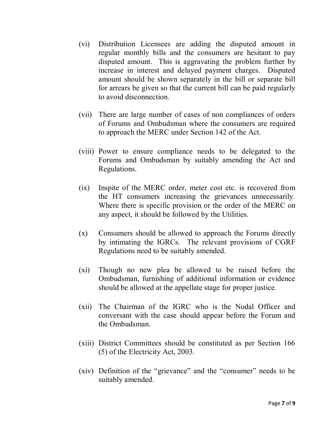- (vi) Distribution Licensees are adding the disputed amount in regular monthly bills and the consumers are hesitant to pay disputed amount. This is aggravating the problem further by increase in interest and delayed payment charges. Disputed amount should be shown separately in the bill or separate bill for arrears be given so that the current bill can be paid regularly to avoid disconnection.
- (vii) There are large number of cases of non compliances of orders of Forums and Ombudsman where the consumers are required to approach the MERC under Section 142 of the Act.
- (viii) Power to ensure compliance needs to be delegated to the Forums and Ombudsman by suitably amending the Act and Regulations.
- (ix) Inspite of the MERC order, meter cost etc. is recovered from the HT consumers increasing the grievances unnecessarily. Where there is specific provision or the order of the MERC on any aspect, it should be followed by the Utilities.
- (x) Consumers should be allowed to approach the Forums directly by intimating the IGRCs. The relevant provisions of CGRF Regulations need to be suitably amended.
- (xi) Though no new plea be allowed to be raised before the Ombudsman, furnishing of additional information or evidence should be allowed at the appellate stage for proper justice.
- (xii) The Chairman of the IGRC who is the Nodal Officer and conversant with the case should appear before the Forum and the Ombudsman.
- (xiii) District Committees should be constituted as per Section 166 (5) of the Electricity Act, 2003.
- (xiv) Definition of the "grievance" and the "consumer" needs to be suitably amended.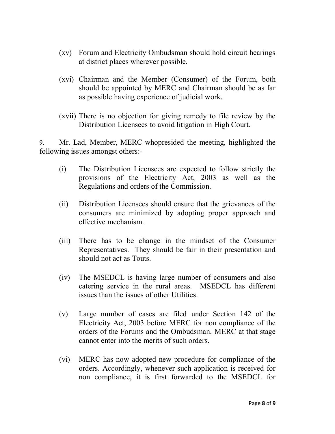- (xv) Forum and Electricity Ombudsman should hold circuit hearings at district places wherever possible.
- (xvi) Chairman and the Member (Consumer) of the Forum, both should be appointed by MERC and Chairman should be as far as possible having experience of judicial work.
- (xvii) There is no objection for giving remedy to file review by the Distribution Licensees to avoid litigation in High Court.

9. Mr. Lad, Member, MERC whopresided the meeting, highlighted the following issues amongst others:-

- (i) The Distribution Licensees are expected to follow strictly the provisions of the Electricity Act, 2003 as well as the Regulations and orders of the Commission.
- (ii) Distribution Licensees should ensure that the grievances of the consumers are minimized by adopting proper approach and effective mechanism.
- (iii) There has to be change in the mindset of the Consumer Representatives. They should be fair in their presentation and should not act as Touts.
- (iv) The MSEDCL is having large number of consumers and also catering service in the rural areas. MSEDCL has different issues than the issues of other Utilities.
- (v) Large number of cases are filed under Section 142 of the Electricity Act, 2003 before MERC for non compliance of the orders of the Forums and the Ombudsman. MERC at that stage cannot enter into the merits of such orders.
- (vi) MERC has now adopted new procedure for compliance of the orders. Accordingly, whenever such application is received for non compliance, it is first forwarded to the MSEDCL for